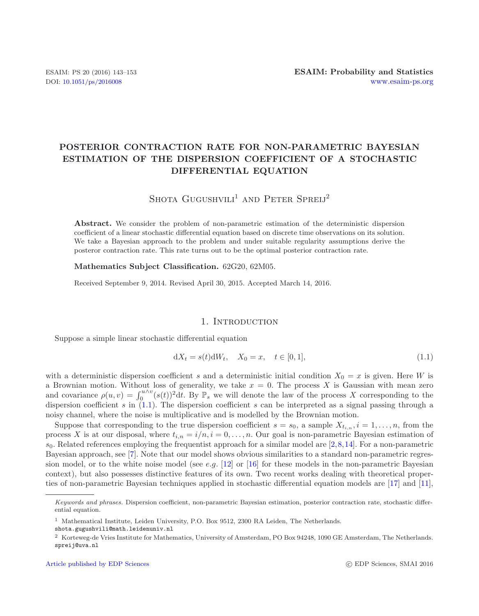# **POSTERIOR CONTRACTION RATE FOR NON-PARAMETRIC BAYESIAN ESTIMATION OF THE DISPERSION COEFFICIENT OF A STOCHASTIC DIFFERENTIAL EQUATION**

<span id="page-0-0"></span>SHOTA GUGUSHVILI<sup>1</sup> AND PETER SPRELJ<sup>2</sup>

**Abstract.** We consider the problem of non-parametric estimation of the deterministic dispersion coefficient of a linear stochastic differential equation based on discrete time observations on its solution. We take a Bayesian approach to the problem and under suitable regularity assumptions derive the posteror contraction rate. This rate turns out to be the optimal posterior contraction rate.

**Mathematics Subject Classification.** 62G20, 62M05.

Received September 9, 2014. Revised April 30, 2015. Accepted March 14, 2016.

### 1. INTRODUCTION

Suppose a simple linear stochastic differential equation

$$
dX_t = s(t)dW_t, \quad X_0 = x, \quad t \in [0,1],
$$
\n(1.1)

with a deterministic dispersion coefficient s and a deterministic initial condition  $X_0 = x$  is given. Here W is a Brownian motion. Without loss of generality, we take  $x = 0$ . The process X is Gaussian with mean zero a Brownian motion. Without loss of generality, we take  $x = 0$ . The process X is Gaussian with mean zero<br>and covariance  $g(y, y) = \int^{u \wedge v} (e(t))^2 dt$ . By P we will denote the law of the process X corresponding to the and covariance  $\rho(u, v) = \int_0^{u \wedge v} (s(t))^2 dt$ . By  $\mathbb{P}_s$  we will denote the law of the process X corresponding to the dispersion coefficient  $s$  can be interpreted as a simple passing through a dispersion coefficient s in  $(1.1)$ . The dispersion coefficient s can be interpreted as a signal passing through a noisy channel, where the noise is multiplicative and is modelled by the Brownian motion.

Suppose that corresponding to the true dispersion coefficient  $s = s_0$ , a sample  $X_{t_{i,n}}, i = 1, \ldots, n$ , from the process X is at our disposal, where  $t_{i,n} = i/n$ ,  $i = 0, \ldots, n$ . Our goal is non-parametric Bayesian estimation of  $s_0$ . Related references employing the frequentist approach for a similar model are [\[2](#page-10-0)[,8,](#page-10-1)[14\]](#page-10-2). For a non-parametric Bayesian approach, see [\[7\]](#page-10-3). Note that our model shows obvious similarities to a standard non-parametric regression model, or to the white noise model (see e.g.  $[12]$  $[12]$  or  $[16]$  $[16]$  for these models in the non-parametric Bayesian context), but also possesses distinctive features of its own. Two recent works dealing with theoretical properties of non-parametric Bayesian techniques applied in stochastic differential equation models are [\[17\]](#page-10-6) and [\[11](#page-10-7)],

*Keywords and phrases.* Dispersion coefficient, non-parametric Bayesian estimation, posterior contraction rate, stochastic differential equation.

<sup>1</sup> Mathematical Institute, Leiden University, P.O. Box 9512, 2300 RA Leiden, The Netherlands.

shota.gugushvili@math.leidenuniv.nl

<sup>2</sup> Korteweg-de Vries Institute for Mathematics, University of Amsterdam, PO Box 94248, 1090 GE Amsterdam, The Netherlands. spreij@uva.nl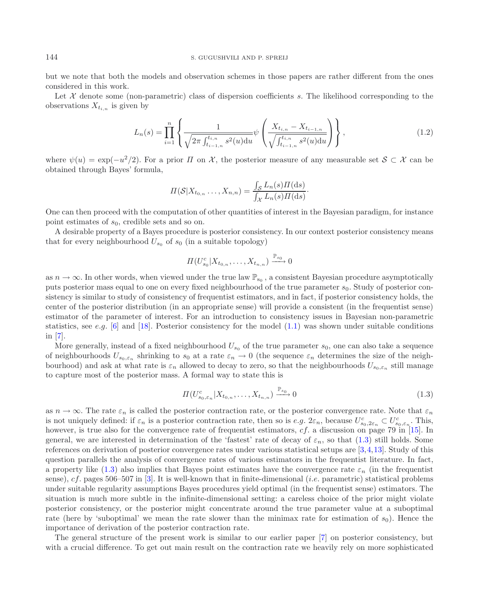### <span id="page-1-1"></span>144 S. GUGUSHVILI AND P. SPREIJ

but we note that both the models and observation schemes in those papers are rather different from the ones considered in this work.

Let  $X$  denote some (non-parametric) class of dispersion coefficients s. The likelihood corresponding to the observations  $X_{t_{i,n}}$  is given by

$$
L_n(s) = \prod_{i=1}^n \left\{ \frac{1}{\sqrt{2\pi \int_{t_{i-1,n}}^{t_{i,n}} s^2(u) \mathrm{d}u}} \psi \left( \frac{X_{t_{i,n}} - X_{t_{i-1,n}}}{\sqrt{\int_{t_{i-1,n}}^{t_{i,n}} s^2(u) \mathrm{d}u}} \right) \right\},
$$
(1.2)

where  $\psi(u) = \exp(-u^2/2)$ . For a prior  $\Pi$  on X, the posterior measure of any measurable set  $S \subset \mathcal{X}$  can be obtained through Bayes' formula,

$$
\Pi(\mathcal{S}|X_{t_{0,n}}\ldots,X_{n,n})=\frac{\int_{\mathcal{S}}L_n(s)\Pi(\mathrm{d}s)}{\int_{\mathcal{X}}L_n(s)\Pi(\mathrm{d}s)}.
$$

One can then proceed with the computation of other quantities of interest in the Bayesian paradigm, for instance point estimates of  $s_0$ , credible sets and so on.

A desirable property of a Bayes procedure is posterior consistency. In our context posterior consistency means that for every neighbourhood  $U_{s_0}$  of  $s_0$  (in a suitable topology)

<span id="page-1-0"></span>
$$
\Pi(U_{s_0}^c|X_{t_{0,n}},\ldots,X_{t_{n,n}})\xrightarrow{\mathbb{P}_{s_0}} 0
$$

as  $n \to \infty$ . In other words, when viewed under the true law  $\mathbb{P}_{s_0}$ , a consistent Bayesian procedure asymptotically puts posterior mass equal to one on every fixed neighbourhood of the true parameter  $s_0$ . Study of posterior consistency is similar to study of consistency of frequentist estimators, and in fact, if posterior consistency holds, the center of the posterior distribution (in an appropriate sense) will provide a consistent (in the frequentist sense) estimator of the parameter of interest. For an introduction to consistency issues in Bayesian non-parametric statistics, see e.g. [\[6](#page-10-8)] and [\[18](#page-10-9)]. Posterior consistency for the model  $(1.1)$  was shown under suitable conditions in [\[7](#page-10-3)].

More generally, instead of a fixed neighbourhood  $U_{s_0}$  of the true parameter  $s_0$ , one can also take a sequence of neighbourhoods  $U_{s_0,\varepsilon_n}$  shrinking to  $s_0$  at a rate  $\varepsilon_n \to 0$  (the sequence  $\varepsilon_n$  determines the size of the neighbourhood) and ask at what rate is  $\varepsilon_n$  allowed to decay to zero, so that the neighbourhoods  $U_{s_0,\varepsilon_n}$  still manage to capture most of the posterior mass. A formal way to state this is

$$
\Pi(U^c_{s_0,\varepsilon_n}|X_{t_0,n},\ldots,X_{t_{n,n}}) \xrightarrow{\mathbb{P}_{s_0}} 0
$$
\n(1.3)

as  $n \to \infty$ . The rate  $\varepsilon_n$  is called the posterior contraction rate, or the posterior convergence rate. Note that  $\varepsilon_n$ is not uniquely defined: if  $\varepsilon_n$  is a posterior contraction rate, then so is  $e.g. 2\varepsilon_n$ , because  $U_{s_0,2\varepsilon_n}^c \subset U_{s_0,\varepsilon_n}^c$ . This,<br>however is true also for the convergence rate of frequentist estimators of a discu however, is true also for the convergence rate of frequentist estimators, cf. a discussion on page 79 in [\[15](#page-10-10)]. In general, we are interested in determination of the 'fastest' rate of decay of  $\varepsilon_n$ , so that [\(1.3\)](#page-1-0) still holds. Some references on derivation of posterior convergence rates under various statistical setups are [\[3](#page-10-11)[,4](#page-10-12),[13\]](#page-10-13). Study of this question parallels the analysis of convergence rates of various estimators in the frequentist literature. In fact, a property like [\(1.3\)](#page-1-0) also implies that Bayes point estimates have the convergence rate  $\varepsilon_n$  (in the frequentist sense), cf. pages 506–507 in [\[3\]](#page-10-11). It is well-known that in finite-dimensional (*i.e.* parametric) statistical problems under suitable regularity assumptions Bayes procedures yield optimal (in the frequentist sense) estimators. The situation is much more subtle in the infinite-dimensional setting: a careless choice of the prior might violate posterior consistency, or the posterior might concentrate around the true parameter value at a suboptimal rate (here by 'suboptimal' we mean the rate slower than the minimax rate for estimation of  $s_0$ ). Hence the importance of derivation of the posterior contraction rate.

The general structure of the present work is similar to our earlier paper [\[7\]](#page-10-3) on posterior consistency, but with a crucial difference. To get out main result on the contraction rate we heavily rely on more sophisticated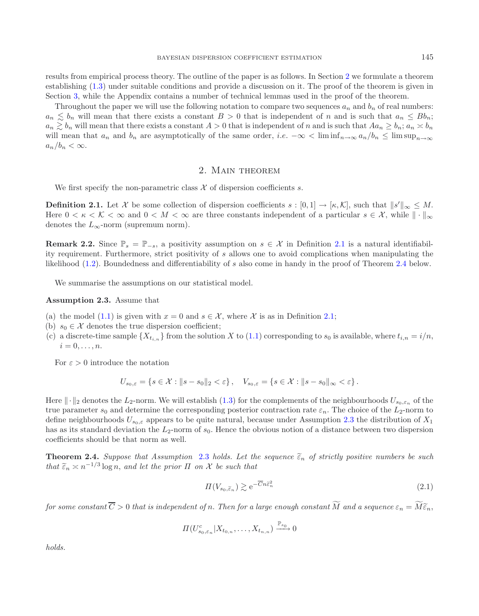results from empirical process theory. The outline of the paper is as follows. In Section [2](#page-2-0) we formulate a theorem establishing [\(1.3\)](#page-1-0) under suitable conditions and provide a discussion on it. The proof of the theorem is given in Section [3,](#page-4-0) while the Appendix contains a number of technical lemmas used in the proof of the theorem.

Throughout the paper we will use the following notation to compare two sequences  $a_n$  and  $b_n$  of real numbers:  $a_n \leq b_n$  will mean that there exists a constant  $B > 0$  that is independent of n and is such that  $a_n \leq Bb_n$ ;<br> $a_n \geq b_n$  will mean that there exists a constant  $A > 0$  that is independent of n and is such that  $Aa_n \geq b_n$ ;  $a_n \gtrsim b_n$  will mean that there exists a constant  $A > 0$  that is independent of n and is such that  $Aa_n \geq b_n$ ;  $a_n \times b_n$ will mean that  $a_n$  and  $b_n$  are asymptotically of the same order, i.e.  $-\infty < \liminf_{n\to\infty} a_n/b_n \le \limsup_{n\to\infty} a_n/b_n$  $a_n/b_n < \infty$ .

## <span id="page-2-3"></span><span id="page-2-1"></span>2. Main theorem

We first specify the non-parametric class  $\mathcal X$  of dispersion coefficients s.

<span id="page-2-0"></span>**Definition 2.1.** Let X be some collection of dispersion coefficients  $s : [0,1] \to [\kappa, \mathcal{K}]$ , such that  $||s'||_{\infty} \leq M$ .<br>Here  $0 \leq \kappa \leq \mathcal{K} \leq \infty$  and  $0 \leq M \leq \infty$  are three constants independent of a particular  $s \in \math$ Here  $0 < \kappa < K < \infty$  and  $0 < M < \infty$  are three constants independent of a particular  $s \in \mathcal{X}$ , while  $\|\cdot\|_{\infty}$ denotes the  $L_{\infty}$ -norm (supremum norm).

**Remark 2.2.** Since  $\mathbb{P}_s = \mathbb{P}_{-s}$ , a positivity assumption on  $s \in \mathcal{X}$  in Definition [2.1](#page-2-1) is a natural identifiability requirement. Furthermore, strict positivity of s allows one to avoid complications when manipulating the likelihood [\(1.2\)](#page-1-1). Boundedness and differentiability of s also come in handy in the proof of Theorem [2.4](#page-2-2) below.

We summarise the assumptions on our statistical model.

**Assumption 2.3.** Assume that

- (a) the model [\(1.1\)](#page-0-0) is given with  $x = 0$  and  $s \in \mathcal{X}$ , where X is as in Definition [2.1;](#page-2-1)
- (b)  $s_0 \in \mathcal{X}$  denotes the true dispersion coefficient;
- (c) a discrete-time sample  ${X_{t_{i,n}}}$  from the solution X to [\(1.1\)](#page-0-0) corresponding to  $s_0$  is available, where  $t_{i,n} = i/n$ ,  $i=0,\ldots,n.$

For  $\varepsilon > 0$  introduce the notation

<span id="page-2-4"></span><span id="page-2-2"></span>
$$
U_{s_0,\varepsilon} = \left\{ s \in \mathcal{X} : \|s - s_0\|_2 < \varepsilon \right\}, \quad V_{s_0,\varepsilon} = \left\{ s \in \mathcal{X} : \|s - s_0\|_{\infty} < \varepsilon \right\}.
$$

Here  $\|\cdot\|_2$  denotes the L<sub>2</sub>-norm. We will establish [\(1.3\)](#page-1-0) for the complements of the neighbourhoods  $U_{s_0,\varepsilon_n}$  of the true parameter  $s_0$  and determine the corresponding posterior contraction rate  $\varepsilon_n$ . The choice of the  $L_2$ -norm to define neighbourhoods  $U_{s_0,\varepsilon}$  appears to be quite natural, because under Assumption [2.3](#page-2-3) the distribution of  $X_1$ has as its standard deviation the  $L_2$ -norm of  $s_0$ . Hence the obvious notion of a distance between two dispersion coefficients should be that norm as well.

**Theorem 2.4.** *Suppose that Assumption* [2.3](#page-2-3) *holds. Let the sequence*  $\tilde{\varepsilon}_n$  *of strictly positive numbers be such that*  $\tilde{\epsilon}_n \approx n^{-1/3} \log n$ , *and let the prior*  $\Pi$  *on*  $\mathcal X$  *be such that* 

$$
\Pi(V_{s_0,\tilde{\varepsilon}_n}) \gtrsim e^{-\overline{C}n\tilde{\varepsilon}_n^2} \tag{2.1}
$$

 $for some constant C > 0 that is independent of n. Then for a large enough constant M and a sequence  $\varepsilon_n = M \tilde{\varepsilon}_n$ ,$ 

$$
\Pi(U_{s_0,\varepsilon_n}^c | X_{t_{0,n}},\ldots,X_{t_{n,n}}) \xrightarrow{\mathbb{P}_{s_0}} 0
$$

*holds.*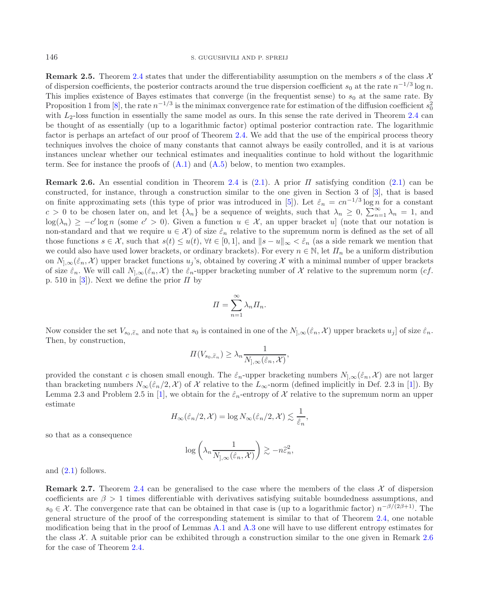**Remark 2.5.** Theorem [2.4](#page-2-2) states that under the differentiability assumption on the members s of the class  $\mathcal{X}$ of dispersion coefficients, the posterior contracts around the true dispersion coefficient  $s_0$  at the rate  $n^{-1/3} \log n$ . This implies existence of Bayes estimates that converge (in the frequentist sense) to  $s_0$  at the same rate. By Proposition 1 from [\[8\]](#page-10-1), the rate  $n^{-1/3}$  is the minimax convergence rate for estimation of the diffusion coefficient  $s_0^2$ <br>with Lealoss function in essentially the same model as ours. In this sense the rate derived in with  $L_2$ -loss function in essentially the same model as ours. In this sense the rate derived in Theorem [2.4](#page-2-2) can be thought of as essentially (up to a logarithmic factor) optimal posterior contraction rate. The logarithmic factor is perhaps an artefact of our proof of Theorem [2.4.](#page-2-2) We add that the use of the empirical process theory techniques involves the choice of many constants that cannot always be easily controlled, and it is at various instances unclear whether our technical estimates and inequalities continue to hold without the logarithmic term. See for instance the proofs of  $(A.1)$  and  $(A.5)$  below, to mention two examples.

<span id="page-3-0"></span>**Remark 2.6.** An essential condition in Theorem [2.4](#page-2-2) is [\(2.1\)](#page-2-4). A prior Π satisfying condition [\(2.1\)](#page-2-4) can be constructed, for instance, through a construction similar to the one given in Section 3 of [\[3](#page-10-11)], that is based on finite approximating sets (this type of prior was introduced in [\[5\]](#page-10-14)). Let  $\hat{\varepsilon}_n = cn^{-1/3} \log n$  for a constant  $c > 0$  to be chosen later on, and let  $\{\lambda_n\}$  be a sequence of weights, such that  $\lambda_n \geq 0$ ,  $\sum_{n=1}^{\infty} \lambda_n = 1$ , and  $\log(\lambda) > -c' \log n$  (some  $c' > 0$ ). Given a function  $y \in X$  an upper bracket  $y$ , (note that our potation  $\log(\lambda_n) \geq -c' \log n$  (some  $c' > 0$ ). Given a function  $u \in \mathcal{X}$ , an upper bracket u] (note that our notation is non-standard and that we require  $u \in \mathcal{X}$  of size  $\hat{\varepsilon}_n$  relative to the supremum norm is defined as the set of all those functions  $s \in \mathcal{X}$ , such that  $s(t) \leq u(t)$ ,  $\forall t \in [0,1]$ , and  $||s-u||_{\infty} < \hat{\varepsilon}_n$  (as a side remark we mention that we could also have used lower brackets, or ordinary brackets). For every  $n \in \mathbb{N}$ , let  $\Pi_n$  be a uniform distribution on  $N_{1,\infty}(\hat{\varepsilon}_n, \mathcal{X})$  upper bracket functions  $u_j$ 's, obtained by covering X with a minimal number of upper brackets of size  $\hat{\varepsilon}_n$ . We will call  $N_{1,\infty}(\hat{\varepsilon}_n,\mathcal{X})$  the  $\hat{\varepsilon}_n$ -upper bracketing number of X relative to the supremum norm (cf. p. 510 in [\[3](#page-10-11)]). Next we define the prior  $\Pi$  by

$$
\Pi = \sum_{n=1}^{\infty} \lambda_n \Pi_n.
$$

Now consider the set  $V_{s_0,\tilde{\varepsilon}_n}$  and note that  $s_0$  is contained in one of the  $N_{,\infty}(\hat{\varepsilon}_n, \mathcal{X})$  upper brackets  $u_j$  of size  $\hat{\varepsilon}_n$ . Then, by construction,

$$
\Pi(V_{s_0,\widetilde{\varepsilon}_n}) \geq \lambda_n \frac{1}{N_{],\infty}(\widehat{\varepsilon}_n, \mathcal{X})},
$$

provided the constant c is chosen small enough. The  $\hat{\varepsilon}_n$ -upper bracketing numbers  $N_{\cdot,\infty}(\hat{\varepsilon}_n,\mathcal{X})$  are not larger than bracketing numbers  $N_{\infty}(\hat{\varepsilon}_n/2, \mathcal{X})$  of X relative to the  $L_{\infty}$ -norm (defined implicitly in Def. 2.3 in [\[1\]](#page-10-15)). By Lemma 2.3 and Problem 2.5 in [\[1](#page-10-15)], we obtain for the  $\hat{\varepsilon}_n$ -entropy of X relative to the supremum norm an upper estimate

$$
H_{\infty}(\hat{\varepsilon}_n/2, \mathcal{X}) = \log N_{\infty}(\hat{\varepsilon}_n/2, \mathcal{X}) \lesssim \frac{1}{\hat{\varepsilon}_n},
$$

so that as a consequence

$$
\log\left(\lambda_n \frac{1}{N_{],\infty}(\hat{\varepsilon}_n,\mathcal{X})}\right) \gtrsim -n\hat{\varepsilon}_n^2,
$$

and  $(2.1)$  follows.

**Remark 2.7.** Theorem [2.4](#page-2-2) can be generalised to the case where the members of the class  $\chi$  of dispersion coefficients are  $\beta > 1$  times differentiable with derivatives satisfying suitable boundedness assumptions, and<br> $\varepsilon_0 \in \mathcal{X}$ . The convergence rate that can be obtained in that case is (up to a logarithmic factor)  $n^{-\beta$  $s_0 \in \mathcal{X}$ . The convergence rate that can be obtained in that case is (up to a logarithmic factor)  $n^{-\beta/(2\beta+1)}$ . The convergence of the proof of the corresponding statement is similar to that of Theorem 2.4, one notab general structure of the proof of the corresponding statement is similar to that of Theorem [2.4,](#page-2-2) one notable modification being that in the proof of Lemmas [A.1](#page-5-0) and [A.3](#page-7-0) one will have to use different entropy estimates for the class  $X$ . A suitable prior can be exhibited through a construction similar to the one given in Remark [2.6](#page-3-0) for the case of Theorem [2.4.](#page-2-2)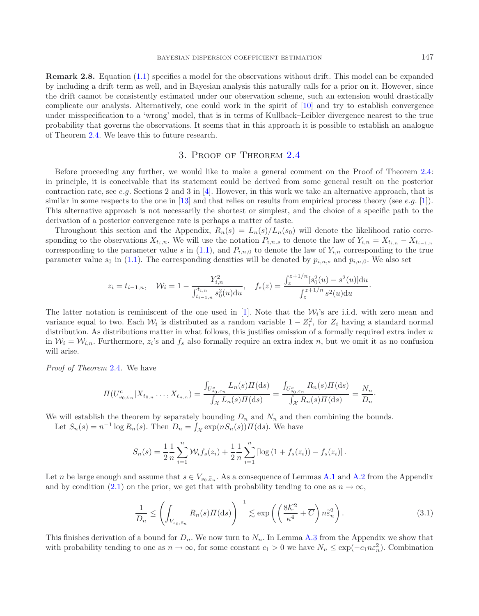**Remark 2.8.** Equation [\(1.1\)](#page-0-0) specifies a model for the observations without drift. This model can be expanded by including a drift term as well, and in Bayesian analysis this naturally calls for a prior on it. However, since the drift cannot be consistently estimated under our observation scheme, such an extension would drastically complicate our analysis. Alternatively, one could work in the spirit of [\[10\]](#page-10-16) and try to establish convergence under misspecification to a 'wrong' model, that is in terms of Kullback–Leibler divergence nearest to the true probability that governs the observations. It seems that in this approach it is possible to establish an analogue of Theorem [2.4.](#page-2-2) We leave this to future research.

# 3. Proof of Theorem [2.4](#page-2-2)

<span id="page-4-0"></span>Before proceeding any further, we would like to make a general comment on the Proof of Theorem [2.4:](#page-2-2) in principle, it is conceivable that its statement could be derived from some general result on the posterior contraction rate, see e.g. Sections 2 and 3 in [\[4\]](#page-10-12). However, in this work we take an alternative approach, that is similar in some respects to the one in  $[13]$  and that relies on results from empirical process theory (see e.g.  $[1]$  $[1]$ ). This alternative approach is not necessarily the shortest or simplest, and the choice of a specific path to the derivation of a posterior convergence rate is perhaps a matter of taste.

Throughout this section and the Appendix,  $R_n(s) = L_n(s)/L_n(s_0)$  will denote the likelihood ratio corresponding to the observations  $X_{t_i,n}$ . We will use the notation  $P_{i,n,s}$  to denote the law of  $Y_{i,n} = X_{t_{i,n}} - X_{t_{i-1,n}}$ corresponding to the parameter value s in [\(1.1\)](#page-0-0), and  $P_{i,n,0}$  to denote the law of  $Y_{i,n}$  corresponding to the true parameter value  $s_0$  in [\(1.1\)](#page-0-0). The corresponding densities will be denoted by  $p_{i,n,s}$  and  $p_{i,n,0}$ . We also set

$$
z_i = t_{i-1,n}, \quad \mathcal{W}_i = 1 - \frac{Y_{i,n}^2}{\int_{t_{i-1,n}}^{t_{i,n}} s_0^2(u) \mathrm{d}u}, \quad f_s(z) = \frac{\int_z^{z+1/n} [s_0^2(u) - s^2(u)] \mathrm{d}u}{\int_z^{z+1/n} s^2(u) \mathrm{d}u}.
$$

The latter notation is reminiscent of the one used in [\[1](#page-10-15)]. Note that the  $\mathcal{W}_i$ 's are i.i.d. with zero mean and variance equal to two. Each  $W_i$  is distributed as a random variable  $1 - Z_i^2$ , for  $Z_i$  having a standard normal distribution. As distributions matter in what follows this justifies omission of a formally required extra i distribution. As distributions matter in what follows, this justifies omission of a formally required extra index  $n$ in  $W_i = W_{i,n}$ . Furthermore,  $z_i$ 's and  $f_s$  also formally require an extra index n, but we omit it as no confusion will arise.

*Proof of Theorem* [2.4](#page-2-2)*.* We have

$$
\Pi(U_{s_0,\varepsilon_n}^c | X_{t_{0,n}} \dots, X_{t_{n,n}}) = \frac{\int_{U_{s_0,\varepsilon_n}^c} L_n(s) \Pi(ds)}{\int_{\mathcal{X}} L_n(s) \Pi(ds)} = \frac{\int_{U_{s_0,\varepsilon_n}^c} R_n(s) \Pi(ds)}{\int_{\mathcal{X}} R_n(s) \Pi(ds)} = \frac{N_n}{D_n}.
$$

We will establish the theorem by separately bounding  $D_n$  and  $N_n$  and then combining the bounds.

Let  $S_n(s) = n^{-1} \log R_n(s)$ . Then  $D_n = \int_{\mathcal{X}} \exp(nS_n(s)) \Pi(ds)$ . We have

<span id="page-4-1"></span>
$$
S_n(s) = \frac{1}{2} \frac{1}{n} \sum_{i=1}^n \mathcal{W}_i f_s(z_i) + \frac{1}{2} \frac{1}{n} \sum_{i=1}^n \left[ \log \left( 1 + f_s(z_i) \right) - f_s(z_i) \right].
$$

Let n be large enough and assume that  $s \in V_{s_0, \tilde{\epsilon}_n}$ . As a consequence of Lemmas [A.1](#page-5-0) and [A.2](#page-6-1) from the Appendix and by condition [\(2.1\)](#page-2-4) on the prior, we get that with probability tending to one as  $n \to \infty$ ,

$$
\frac{1}{D_n} \le \left( \int_{V_{s_0,\tilde{\varepsilon}_n}} R_n(s) \Pi(ds) \right)^{-1} \lesssim \exp\left( \left( \frac{8\mathcal{K}^2}{\kappa^4} + \overline{C} \right) n \tilde{\varepsilon}_n^2 \right). \tag{3.1}
$$

This finishes derivation of a bound for  $D_n$ . We now turn to  $N_n$ . In Lemma [A.3](#page-7-0) from the Appendix we show that with probability tending to one as  $n \to \infty$ , for some constant  $c_1 > 0$  we have  $N_n \leq \exp(-c_1 n \varepsilon_n^2)$ . Combination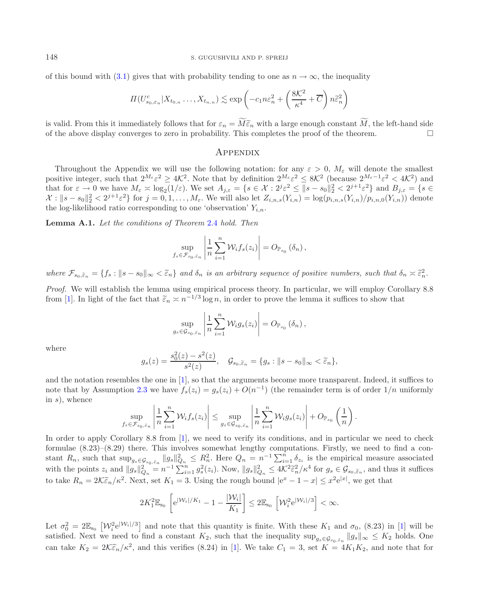of this bound with [\(3.1\)](#page-4-1) gives that with probability tending to one as  $n \to \infty$ , the inequality

$$
\Pi(U_{s_0,\varepsilon_n}^c | X_{t_{0,n}} \dots, X_{t_{n,n}}) \lesssim \exp\left(-c_1 n\varepsilon_n^2 + \left(\frac{8K^2}{\kappa^4} + \overline{C}\right) n\tilde{\varepsilon}_n^2\right)
$$

is valid. From this it immediately follows that for  $\varepsilon_n = M \tilde{\varepsilon}_n$  with a large enough constant M, the left-hand side<br>of the above display converges to zero in probability. This completes the proof of the theorem of the above display converges to zero in probability. This completes the proof of the theorem.  $\Box$ 

### <span id="page-5-0"></span>**APPENDIX**

Throughout the Appendix we will use the following notation: for any  $\varepsilon > 0$ ,  $M_{\varepsilon}$  will denote the smallest positive integer, such that  $2^{M_{\varepsilon}} \varepsilon^2 \ge 4\mathcal{K}^2$ . Note that by definition  $2^{M_{\varepsilon}} \varepsilon^2 \le 8\mathcal{K}^2$  (because  $2^{M_{\varepsilon}-1} \varepsilon^2 < 4\mathcal{K}^2$ ) and that for  $\varepsilon \to 0$  we have  $M_{\varepsilon} \times \log_2(1/\varepsilon)$ . We set  $A_{j,\varepsilon} = \{s \in \mathcal{X} : 2^{j} \varepsilon^2 \le ||s - s_0||_2^2 < 2^{j+1} \varepsilon^2\}$  and  $B_{j,\varepsilon} = \{s \in \mathcal{X} : 2^{j} \varepsilon^2 \le ||s - s_0||_2^2 < 2^{j+1} \varepsilon^2\}$  and  $B_{j,\varepsilon} = \{s \in \mathcal{X} : 2^{j}$  $\mathcal{X}: ||s - s_0||_2^2 < 2^{j+1} \varepsilon^2$  for  $j = 0, 1, ..., M_{\varepsilon}$ . We will also let  $Z_{i,n,s}(Y_{i,n}) = \log(p_{i,n,s}(Y_{i,n})/p_{i,n,0}(Y_{i,n}))$  denote the log-likelihood ratio corresponding to one 'observation'  $Y_{i,n}$ .

**Lemma A.1.** *Let the conditions of Theorem* [2.4](#page-2-2) *hold. Then*

$$
\sup_{f_s \in \mathcal{F}_{s_0, \tilde{\varepsilon}_n}} \left| \frac{1}{n} \sum_{i=1}^n \mathcal{W}_i f_s(z_i) \right| = O_{\mathbb{P}_{s_0}}(\delta_n),
$$

 $where \ \mathcal{F}_{s_0, \widetilde{\epsilon}_n} = \{f_s : ||s - s_0||_{\infty} < \widetilde{\epsilon}_n\}$  and  $\delta_n$  is an arbitrary sequence of positive numbers, such that  $\delta_n \asymp \widetilde{\epsilon}_n^2$ .

*Proof.* We will establish the lemma using empirical process theory. In particular, we will employ Corollary 8.8 from [\[1](#page-10-15)]. In light of the fact that  $\tilde{\varepsilon}_n \asymp n^{-1/3} \log n$ , in order to prove the lemma it suffices to show that

$$
\sup_{g_s \in \mathcal{G}_{s_0, \tilde{\varepsilon}_n}} \left| \frac{1}{n} \sum_{i=1}^n \mathcal{W}_i g_s(z_i) \right| = O_{\mathbb{P}_{s_0}}(\delta_n),
$$

where

$$
g_s(z) = \frac{s_0^2(z) - s^2(z)}{s^2(z)}, \quad \mathcal{G}_{s_0, \tilde{\varepsilon}_n} = \{g_s : ||s - s_0||_{\infty} < \tilde{\varepsilon}_n\},
$$

and the notation resembles the one in [\[1\]](#page-10-15), so that the arguments become more transparent. Indeed, it suffices to note that by Assumption [2.3](#page-2-3) we have  $f_s(z_i) = g_s(z_i) + O(n^{-1})$  (the remainder term is of order  $1/n$  uniformly in  $s$ ), whence

$$
\sup_{f_s \in \mathcal{F}_{s_0, \tilde{\varepsilon}_n}} \left| \frac{1}{n} \sum_{i=1}^n \mathcal{W}_i f_s(z_i) \right| \leq \sup_{g_s \in \mathcal{G}_{s_0, \tilde{\varepsilon}_n}} \left| \frac{1}{n} \sum_{i=1}^n \mathcal{W}_i g_s(z_i) \right| + O_{\mathbb{P}_{s_0}}\left(\frac{1}{n}\right).
$$

In order to apply Corollary 8.8 from [\[1](#page-10-15)], we need to verify its conditions, and in particular we need to check formulae (8.23)–(8.29) there. This involves somewhat lengthy computations. Firstly, we need to find a constant  $R_n$ , such that  $\sup_{g_s \in \mathcal{G}_{s_0,\tilde{e}_n}} \|g_s\|_{Q_n}^2 \leq R_n^2$ . Here  $Q_n = n^{-1} \sum_{i=1}^n \delta_{z_i}$  is the empirical measure associated with the points  $z_i$  and  $||g_s||_{Q_n}^2 = n^{-1} \sum_{i=1}^n g_s^2(z_i)$ . Now,  $||g_s||_{Q_n}^2 \le 4\mathcal{K}^2 \tilde{\epsilon}_n^2/\kappa^4$  for  $g_s \in \mathcal{G}_{s_0,\tilde{\epsilon}_n}$ , and thus it suffices to take  $R_n = 2\mathcal{K}\tilde{\varepsilon}_n/\kappa^2$ . Next, set  $K_1 = 3$ . Using the rough bound  $|e^x - 1 - x| \leq x^2 e^{|x|}$ , we get that

$$
2K_1^2 \mathbb{E}_{s_0} \left[ e^{|W_i|/K_1} - 1 - \frac{|W_i|}{K_1} \right] \leq 2 \mathbb{E}_{s_0} \left[ \mathcal{W}_i^2 e^{|W_i|/3} \right] < \infty.
$$

Let  $\sigma_0^2 = 2\mathbb{E}_{s_0} \left[ \mathcal{W}_i^2 e^{|\mathcal{W}_i|/3} \right]$  and note that this quantity is finite. With these  $K_1$  and  $\sigma_0$ , (8.23) in [\[1](#page-10-15)] will be estisfied. Next we need to find a constant  $K_2$  such that the inequality sup satisfied. Next we need to find a constant  $K_2$ , such that the inequality  $\sup_{g_s \in \mathcal{G}_{s_0,\tilde{z}_n}} ||g_s||_{\infty} \leq K_2$  holds. One can take  $K_2 = 2\mathcal{K}\tilde{\epsilon}_n/\kappa^2$ , and this verifies (8.24) in [\[1\]](#page-10-15). We take  $C_1 = 3$ , set  $K = 4K_1K_2$ , and note that for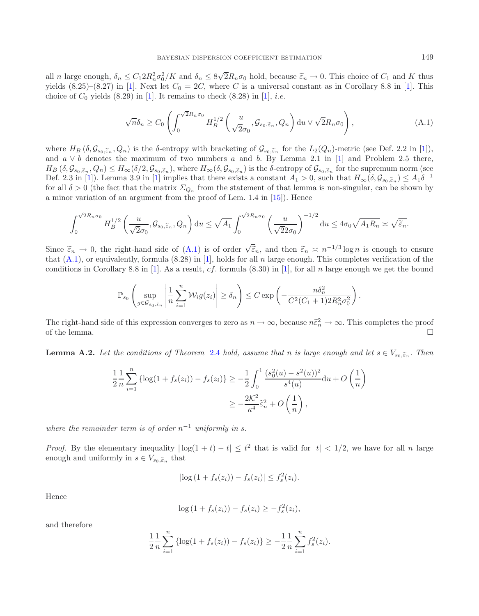all *n* large enough,  $\delta_n \leq C_1 2R_n^2 \sigma_0^2/K$  and  $\delta_n \leq 8$ <br>vields  $(8.25)-(8.27)$  in [1] Next let  $C_2 = 2C$  wh √  $2R_n\sigma_0$  hold, because  $\tilde{\varepsilon}_n \to 0$ . This choice of  $C_1$  and K thus<br>re C is a universal constant as in Corollary 8.8 in [1]. This yields  $(8.25)-(8.27)$  in [\[1\]](#page-10-15). Next let  $C_0 = 2C$ , where C is a universal constant as in Corollary 8.8 in [1]. This choice of  $C_0$  yields (8.29) in [\[1\]](#page-10-15). It remains to check (8.28) in [1], *i.e.* 

<span id="page-6-0"></span>
$$
\sqrt{n}\delta_n \ge C_0 \left( \int_0^{\sqrt{2}R_n\sigma_0} H_B^{1/2} \left( \frac{u}{\sqrt{2}\sigma_0}, \mathcal{G}_{s_0, \tilde{\varepsilon}_n}, Q_n \right) \mathrm{d}u \vee \sqrt{2}R_n\sigma_0 \right),\tag{A.1}
$$

where  $H_B$  ( $\delta, \mathcal{G}_{s_0, \tilde{\epsilon}_n}, Q_n$ ) is the  $\delta$ -entropy with bracketing of  $\mathcal{G}_{s_0, \tilde{\epsilon}_n}$  for the  $L_2(Q_n)$ -metric (see Def. 2.2 in [\[1](#page-10-15)]), and  $a \vee b$  denotes the maximum of two numbers a and b. By Lemma 2.1 in [\[1\]](#page-10-15) and Problem 2.5 there,  $H_B(\delta, \mathcal{G}_{s_0, \tilde{\varepsilon}_n}, Q_n) \leq H_{\infty}(\delta/2, \mathcal{G}_{s_0, \tilde{\varepsilon}_n})$ , where  $H_{\infty}(\delta, \mathcal{G}_{s_0, \tilde{\varepsilon}_n})$  is the  $\delta$ -entropy of  $\mathcal{G}_{s_0, \tilde{\varepsilon}_n}$  for the supremum norm (see Def. 2.3 in [\[1](#page-10-15)]). Lemma 3.9 in [\[1\]](#page-10-15) implies that there exists a constant  $A_1 > 0$ , such that  $H_{\infty}(\delta, \mathcal{G}_{s_0, \tilde{\epsilon}_n}) \leq A_1 \delta^{-1}$ for all  $\delta > 0$  (the fact that the matrix  $\Sigma_{Q_n}$  from the statement of that lemma is non-singular, can be shown by a minor variation of an argument from the proof of Lem. 1.4 in [\[15](#page-10-10)]). Hence

$$
\int_0^{\sqrt{2}R_n\sigma_0} H_B^{1/2} \left( \frac{u}{\sqrt{2}\sigma_0}, \mathcal{G}_{s_0, \widetilde{\varepsilon}_n}, Q_n \right) du \le \sqrt{A_1} \int_0^{\sqrt{2}R_n\sigma_0} \left( \frac{u}{\sqrt{2}2\sigma_0} \right)^{-1/2} du \le 4\sigma_0 \sqrt{A_1 R_n} \asymp \sqrt{\widetilde{\varepsilon}_n}.
$$

Since  $\tilde{\varepsilon}_n \to 0$ , the right-hand side of  $(A.1)$  is of order  $\sqrt{\tilde{\varepsilon}}_n$ , and then  $\tilde{\varepsilon}_n \times n^{-1/3} \log n$  is enough to ensure that  $(A.1)$  or equivalently formula  $(B.28)$  in [1] holds for all n large enough. This co that  $(A.1)$ , or equivalently, formula  $(8.28)$  in [\[1](#page-10-15)], holds for all n large enough. This completes verification of the conditions in Corollary 8.8 in [\[1](#page-10-15)]. As a result, cf. formula  $(8.30)$  in [\[1\]](#page-10-15), for all n large enough we get the bound

$$
\mathbb{P}_{s_0}\left(\sup_{g\in\mathcal{G}_{s_0,\tilde{\varepsilon}_n}}\left|\frac{1}{n}\sum_{i=1}^n\mathcal{W}_ig(z_i)\right|\geq\delta_n\right)\leq C\exp\left(-\frac{n\delta_n^2}{C^2(C_1+1)2R_n^2\sigma_0^2}\right)
$$

The right-hand side of this expression converges to zero as  $n \to \infty$ , because  $n\tilde{\varepsilon}_n^2 \to \infty$ . This completes the proof the lemma of the lemma.  $\Box$ 

<span id="page-6-1"></span>**Lemma A.2.** Let the conditions of Theorem [2.4](#page-2-2) hold, assume that n is large enough and let  $s \in V_{s_0, \tilde{e}_n}$ . Then

$$
\frac{1}{2} \frac{1}{n} \sum_{i=1}^{n} \left\{ \log(1 + f_s(z_i)) - f_s(z_i) \right\} \ge -\frac{1}{2} \int_0^1 \frac{(s_0^2(u) - s^2(u))^2}{s^4(u)} du + O\left(\frac{1}{n}\right)
$$

$$
\ge -\frac{2\mathcal{K}^2}{\kappa^4} \tilde{\varepsilon}_n^2 + O\left(\frac{1}{n}\right),
$$

*where the remainder term is of order*  $n^{-1}$  *uniformly in s.* 

*Proof.* By the elementary inequality  $|\log(1 + t) - t| \leq t^2$  that is valid for  $|t| < 1/2$ , we have for all n large enough and uniformly in  $s \in V$   $\infty$  that enough and uniformly in  $s \in V_{s_0, \tilde{\epsilon}_n}$  that

$$
|\log (1 + f_s(z_i)) - f_s(z_i)| \le f_s^2(z_i).
$$

Hence

$$
\log (1 + f_s(z_i)) - f_s(z_i) \ge -f_s^2(z_i),
$$

and therefore

$$
\frac{1}{2} \frac{1}{n} \sum_{i=1}^{n} \left\{ \log(1 + f_s(z_i)) - f_s(z_i) \right\} \geq -\frac{1}{2} \frac{1}{n} \sum_{i=1}^{n} f_s^2(z_i).
$$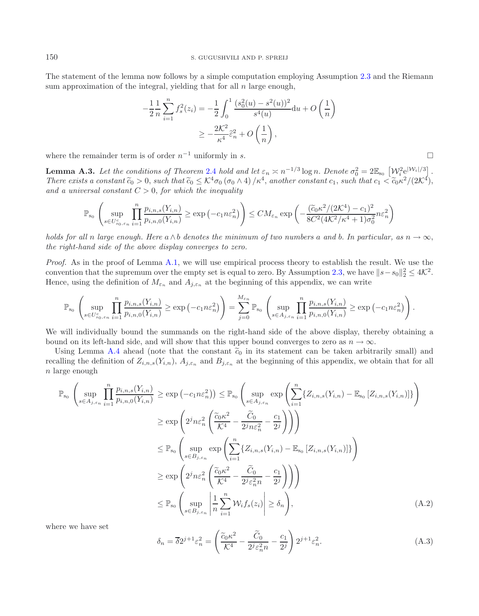The statement of the lemma now follows by a simple computation employing Assumption [2.3](#page-2-3) and the Riemann sum approximation of the integral, yielding that for all  $n$  large enough,

$$
-\frac{1}{2}\frac{1}{n}\sum_{i=1}^{n}f_s^2(z_i) = -\frac{1}{2}\int_0^1 \frac{(s_0^2(u) - s^2(u))^2}{s^4(u)}du + O\left(\frac{1}{n}\right)
$$

$$
\geq -\frac{2K^2}{\kappa^4}\hat{\varepsilon}_n^2 + O\left(\frac{1}{n}\right),
$$

<span id="page-7-0"></span>where the remainder term is of order  $n^{-1}$  uniformly in s.

**Lemma A.3.** Let the conditions of Theorem [2.4](#page-2-2) hold and let  $\varepsilon_n \asymp n^{-1/3} \log n$ . Denote  $\sigma_0^2 = 2\mathbb{E}_{s_0} \left[ W_i^2 e^{|W_i|/3} \right]$ <br>There exists a constant  $\widetilde{c}_0 > 0$ , such that  $\widetilde{c}_0 \leq K^4 \sigma_0 (\sigma_0 \wedge A) / \kappa^4$ , another There exists a constant  $\tilde{c}_0 > 0$ , such that  $\tilde{c}_0 \leq K^4 \sigma_0 (\sigma_0 \wedge 4) / \kappa^4$ , another constant  $c_1$ , such that  $c_1 < \tilde{c}_0 \kappa^2 / (2K^4)$ ,<br>and a universal constant  $C > 0$ , for which the inequality and a universal constant  $C > 0$ , for which the inequality

$$
\mathbb{P}_{s_0} \left( \sup_{s \in U_{s_0, \varepsilon_n}^c} \prod_{i=1}^n \frac{p_{i,n,s}(Y_{i,n})}{p_{i,n,0}(Y_{i,n})} \ge \exp\left(-c_1 n \varepsilon_n^2\right) \right) \le CM_{\varepsilon_n} \exp\left(-\frac{(\widetilde{c}_0 \kappa^2/(2\mathcal{K}^4) - c_1)^2}{8C^2 (4\mathcal{K}^2/\kappa^4 + 1)\sigma_0^2} n \varepsilon_n^2\right)
$$

*holds for all* n *large enough. Here*  $a \wedge b$  *denotes the minimum of two numbers* a and b. In particular, as  $n \to \infty$ , *the right-hand side of the above display converges to zero.*

*Proof.* As in the proof of Lemma [A.1,](#page-5-0) we will use empirical process theory to establish the result. We use the convention that the supremum over the empty set is equal to zero. By Assumption [2.3,](#page-2-3) we have  $||s-s_0||_2^2 \leq 4\mathcal{K}^2$ .<br>Hence, using the definition of M and A, at the beginning of this appendix, we can write Hence, using the definition of  $M_{\varepsilon_n}$  and  $A_{j,\varepsilon_n}$  at the beginning of this appendix, we can write

$$
\mathbb{P}_{s_0}\left(\sup_{s\in U_{s_0,\varepsilon_n}^c}\prod_{i=1}^n\frac{p_{i,n,s}(Y_{i,n})}{p_{i,n,0}(Y_{i,n})}\geq \exp\left(-c_1n\varepsilon_n^2\right)\right)=\sum_{j=0}^{M_{\varepsilon_n}}\mathbb{P}_{s_0}\left(\sup_{s\in A_{j,\varepsilon_n}}\prod_{i=1}^n\frac{p_{i,n,s}(Y_{i,n})}{p_{i,n,0}(Y_{i,n})}\geq \exp\left(-c_1n\varepsilon_n^2\right)\right).
$$

We will individually bound the summands on the right-hand side of the above display, thereby obtaining a bound on its left-hand side, and will show that this upper bound converges to zero as  $n \to \infty$ .

Using Lemma [A.4](#page-9-0) ahead (note that the constant  $\tilde{c}_0$  in its statement can be taken arbitrarily small) and recalling the definition of  $Z_{i,n,s}(Y_{i,n})$ ,  $A_{j,\varepsilon_n}$  and  $B_{j,\varepsilon_n}$  at the beginning of this appendix, we obtain that for all  $n$  large enough

<span id="page-7-2"></span>
$$
\mathbb{P}_{s_0} \left( \sup_{s \in A_{j,\varepsilon_n}} \prod_{i=1}^n \frac{p_{i,n,s}(Y_{i,n})}{p_{i,n,0}(Y_{i,n})} \ge \exp\left(-c_1 n \varepsilon_n^2\right) \right) \le \mathbb{P}_{s_0} \left( \sup_{s \in A_{j,\varepsilon_n}} \exp\left(\sum_{i=1}^n \{Z_{i,n,s}(Y_{i,n}) - \mathbb{E}_{s_0} \left[Z_{i,n,s}(Y_{i,n})\right]\}\right) \right)
$$
  
\n
$$
\ge \exp\left(2^j n \varepsilon_n^2 \left(\frac{\tilde{c}_0 \kappa^2}{K^4} - \frac{\tilde{C}_0}{2^j n \varepsilon_n^2} - \frac{c_1}{2^j}\right)\right)\right)
$$
  
\n
$$
\le \mathbb{P}_{s_0} \left( \sup_{s \in B_{j,\varepsilon_n}} \exp\left(\sum_{i=1}^n \{Z_{i,n,s}(Y_{i,n}) - \mathbb{E}_{s_0} \left[Z_{i,n,s}(Y_{i,n})\right]\}\right) \right)
$$
  
\n
$$
\ge \exp\left(2^j n \varepsilon_n^2 \left(\frac{\tilde{c}_0 \kappa^2}{K^4} - \frac{\tilde{C}_0}{2^j \varepsilon_n^2 n} - \frac{c_1}{2^j}\right)\right)\right)
$$
  
\n
$$
\le \mathbb{P}_{s_0} \left( \sup_{s \in B_{j,\varepsilon_n}} \left|\frac{1}{n} \sum_{i=1}^n \mathcal{W}_i f_s(z_i) \right| \ge \delta_n \right), \tag{A.2}
$$

where we have set

$$
\delta_n = \overline{\delta} 2^{j+1} \varepsilon_n^2 = \left( \frac{\widetilde{c}_0 \kappa^2}{\mathcal{K}^4} - \frac{\widetilde{C}_0}{2^j \varepsilon_n^2 n} - \frac{c_1}{2^j} \right) 2^{j+1} \varepsilon_n^2.
$$
\n(A.3)

<span id="page-7-1"></span>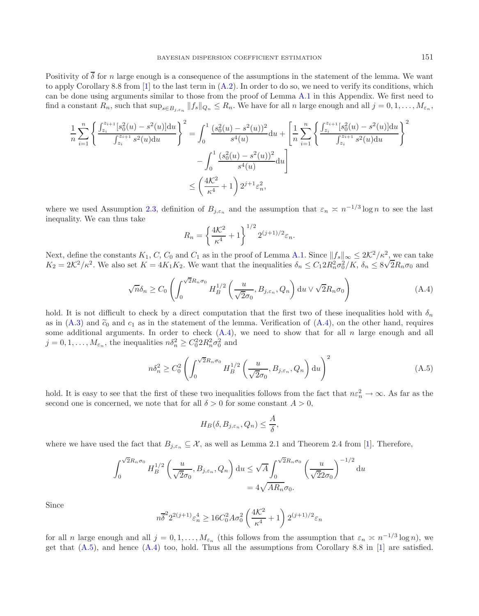Positivity of  $\overline{\delta}$  for n large enough is a consequence of the assumptions in the statement of the lemma. We want to apply Corollary 8.8 from  $[1]$  to the last term in  $(A.2)$ . In order to do so, we need to verify its conditions, which can be done using arguments similar to those from the proof of Lemma [A.1](#page-5-0) in this Appendix. We first need to find a constant  $R_n$ , such that  $\sup_{s \in B_{j,\varepsilon_n}} ||f_s||_{Q_n} \leq R_n$ . We have for all n large enough and all  $j = 0, 1, \ldots, M_{\varepsilon_n}$ ,

$$
\frac{1}{n} \sum_{i=1}^{n} \left\{ \frac{\int_{z_i}^{z_{i+1}} [s_0^2(u) - s^2(u)] du}{\int_{z_i}^{z_{i+1}} s^2(u) du} \right\}^2 = \int_0^1 \frac{(s_0^2(u) - s^2(u))^2}{s^4(u)} du + \left[ \frac{1}{n} \sum_{i=1}^{n} \left\{ \frac{\int_{z_i}^{z_{i+1}} [s_0^2(u) - s^2(u)] du}{\int_{z_i}^{z_{i+1}} s^2(u) du} \right\}^2 - \int_0^1 \frac{(s_0^2(u) - s^2(u))^2}{s^4(u)} du \right]
$$

$$
\leq \left( \frac{4K^2}{\kappa^4} + 1 \right) 2^{j+1} \varepsilon_n^2,
$$

where we used Assumption [2.3,](#page-2-3) definition of  $B_{j,\varepsilon_n}$  and the assumption that  $\varepsilon_n \asymp n^{-1/3} \log n$  to see the last inequality. We can thus take

<span id="page-8-1"></span><span id="page-8-0"></span>
$$
R_n = \left\{ \frac{4\mathcal{K}^2}{\kappa^4} + 1 \right\}^{1/2} 2^{(j+1)/2} \varepsilon_n.
$$

Next, define the constants  $K_1$ , C, C<sub>0</sub> and C<sub>1</sub> as in the proof of Lemma [A.1.](#page-5-0) Since  $||f_s||_{\infty} \leq 2K^2/\kappa^2$ , we can take  $K_2 = 2K^2/\kappa^2$ . We also set  $K = AK, K_2$ . We want that the inequalities  $\delta \leq C_1 2B^2 \sigma^2/K$ ,  $\delta$ Next, define the constants  $K_1$ , C, C<sub>0</sub> and C<sub>1</sub> as in the proof of Lemma A.1. Since  $||f_s||_{\infty} \leq 2K^2/k$ , we can take  $K_2 = 2K^2/\kappa^2$ . We also set  $K = 4K_1K_2$ . We want that the inequalities  $\delta_n \leq C_1 2R_n^2 \sigma_0^2/K$ ,

$$
\sqrt{n}\delta_n \ge C_0 \left( \int_0^{\sqrt{2}R_n\sigma_0} H_B^{1/2} \left( \frac{u}{\sqrt{2}\sigma_0}, B_{j,\varepsilon_n}, Q_n \right) \mathrm{d}u \vee \sqrt{2}R_n\sigma_0 \right) \tag{A.4}
$$

hold. It is not difficult to check by a direct computation that the first two of these inequalities hold with  $\delta_n$ as in  $(A.3)$  and  $\tilde{c}_0$  and  $c_1$  as in the statement of the lemma. Verification of  $(A.4)$ , on the other hand, requires some additional arguments. In order to check  $(A.4)$ , we need to show that for all n large enough and all  $j = 0, 1, \ldots, M_{\varepsilon_n}$ , the inequalities  $n\delta_n^2 \geq C_0^2 2R_n^2 \sigma_0^2$  and

$$
n\delta_n^2 \ge C_0^2 \left( \int_0^{\sqrt{2}R_n\sigma_0} H_B^{1/2} \left( \frac{u}{\sqrt{2}\sigma_0}, B_{j,\varepsilon_n}, Q_n \right) du \right)^2 \tag{A.5}
$$

hold. It is easy to see that the first of these two inequalities follows from the fact that  $n\varepsilon_n^2 \to \infty$ . As far as the second one is concerned we note that for all  $\delta > 0$  for some constant  $A > 0$ . second one is concerned, we note that for all  $\delta > 0$  for some constant  $A > 0$ ,

$$
H_B(\delta, B_{j,\varepsilon_n}, Q_n) \leq \frac{A}{\delta},
$$

where we have used the fact that  $B_{i,\varepsilon_n} \subseteq \mathcal{X}$ , as well as Lemma 2.1 and Theorem 2.4 from [\[1\]](#page-10-15). Therefore,

$$
\int_0^{\sqrt{2}R_n\sigma_0} H_B^{1/2} \left(\frac{u}{\sqrt{2}\sigma_0}, B_{j,\varepsilon_n}, Q_n\right) du \le \sqrt{A} \int_0^{\sqrt{2}R_n\sigma_0} \left(\frac{u}{\sqrt{2}2\sigma_0}\right)^{-1/2} du
$$
  
=  $4\sqrt{AR_n}\sigma_0$ .

Since

$$
n\overline{\delta}^2 2^{2(j+1)} \varepsilon_n^4 \ge 16C_0^2 A \sigma_0^2 \left(\frac{4K^2}{\kappa^4} + 1\right) 2^{(j+1)/2} \varepsilon_n
$$

for all n large enough and all  $j = 0, 1, \ldots, M_{\varepsilon_n}$  (this follows from the assumption that  $\varepsilon_n \asymp n^{-1/3} \log n$ ), we get that  $(A.5)$ , and hence  $(A.4)$  too, hold. Thus all the assumptions from Corollary 8.8 in [\[1\]](#page-10-15) are satisfied.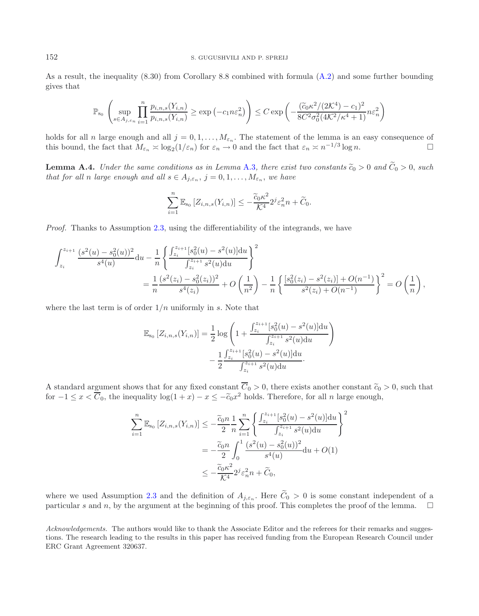As a result, the inequality (8.30) from Corollary 8.8 combined with formula [\(A.2\)](#page-7-1) and some further bounding gives that

$$
\mathbb{P}_{s_0} \left( \sup_{s \in A_{j,\varepsilon_n}} \prod_{i=1}^n \frac{p_{i,n,s}(Y_{i,n})}{p_{i,n,s}(Y_{i,n})} \ge \exp\left(-c_1 n \varepsilon_n^2\right) \right) \le C \exp\left(-\frac{(\widetilde{c}_0 \kappa^2/(2\mathcal{K}^4) - c_1)^2}{8C^2 \sigma_0^2 (4\mathcal{K}^2/\kappa^4 + 1)} n \varepsilon_n^2\right)
$$

holds for all n large enough and all  $j = 0, 1, ..., M_{\varepsilon_n}$ . The statement of the lemma is an easy consequence of this bound, the fact that  $M_{\varepsilon} \ge \log_2(1/\varepsilon_n)$  for  $\varepsilon_n \to 0$  and the fact that  $\varepsilon_n \ge n^{-1/3} \log n$ . this bound, the fact that  $M_{\varepsilon_n} \asymp \log_2(1/\varepsilon_n)$  for  $\varepsilon_n \to 0$  and the fact that  $\varepsilon_n \asymp n^{-1/3} \log n$ .

<span id="page-9-0"></span>**Lemma A.4.** *Under the same conditions as in Lemma [A.3](#page-7-0), there exist two constants*  $\tilde{c}_0 > 0$  *and*  $\tilde{C}_0 > 0$ *, such that for all n large enough and all*  $s \in A_{j,\varepsilon_n}$ ,  $j = 0, 1, \ldots, M_{\varepsilon_n}$ , we have

$$
\sum_{i=1}^n \mathbb{E}_{s_0} \left[ Z_{i,n,s}(Y_{i,n}) \right] \leq -\frac{\widetilde{c}_0 \kappa^2}{\mathcal{K}^4} 2^j \varepsilon_n^2 n + \widetilde{C}_0.
$$

*Proof.* Thanks to Assumption [2.3,](#page-2-3) using the differentiability of the integrands, we have

$$
\int_{z_i}^{z_{i+1}} \frac{(s^2(u) - s_0^2(u))^2}{s^4(u)} du - \frac{1}{n} \left\{ \frac{\int_{z_i}^{z_{i+1}} [s_0^2(u) - s^2(u)] du}{\int_{z_i}^{z_{i+1}} s^2(u) du} \right\}^2
$$
  
= 
$$
\frac{1}{n} \frac{(s^2(z_i) - s_0^2(z_i))^2}{s^4(z_i)} + O\left(\frac{1}{n^2}\right) - \frac{1}{n} \left\{ \frac{[s_0^2(z_i) - s^2(z_i)] + O(n^{-1})}{s^2(z_i) + O(n^{-1})} \right\}^2 = O\left(\frac{1}{n}\right),
$$

where the last term is of order  $1/n$  uniformly in s. Note that

$$
\mathbb{E}_{s_0} [Z_{i,n,s}(Y_{i,n})] = \frac{1}{2} \log \left( 1 + \frac{\int_{z_i}^{z_{i+1}} [s_0^2(u) - s^2(u)] du}{\int_{z_i}^{z_{i+1}} s^2(u) du} \right) - \frac{1}{2} \frac{\int_{z_i}^{z_{i+1}} [s_0^2(u) - s^2(u)] du}{\int_{z_i}^{z_{i+1}} s^2(u) du}.
$$

A standard argument shows that for any fixed constant  $C_0 > 0$ , there exists another constant  $\tilde{c}_0 > 0$ , such that  $\text{for } -1 \leq x \leq \overline{C}_0$ , the inequality  $\log(1 + x) - x \leq -\tilde{c}_0 x^2$  holds. Therefore, for all n large eno for  $-1 \le x < \overline{C}_0$ , the inequality  $\log(1+x) - x \le -\tilde{c}_0 x^2$  holds. Therefore, for all n large enough,

$$
\sum_{i=1}^{n} \mathbb{E}_{s_0} \left[ Z_{i,n,s}(Y_{i,n}) \right] \leq -\frac{\widetilde{c}_0 n}{2} \frac{1}{n} \sum_{i=1}^{n} \left\{ \frac{\int_{z_i}^{z_{i+1}} [s_0^2(u) - s^2(u)] du}{\int_{z_i}^{z_{i+1}} s^2(u) du} \right\}^2
$$

$$
= -\frac{\widetilde{c}_0 n}{2} \int_0^1 \frac{(s^2(u) - s_0^2(u))^2}{s^4(u)} du + O(1)
$$

$$
\leq -\frac{\widetilde{c}_0 \kappa^2}{\mathcal{K}^4} 2^j \varepsilon_n^2 n + \widetilde{C}_0,
$$

where we used Assumption [2.3](#page-2-3) and the definition of  $A_{j,\varepsilon_n}$ . Here  $\widetilde{C}_0 > 0$  is some constant independent of a particular s and n, by the argument at the beginning of this proof. This completes the proof of the lemm particular s and  $n$ , by the argument at the beginning of this proof. This completes the proof of the lemma.

*Acknowledgements.* The authors would like to thank the Associate Editor and the referees for their remarks and suggestions. The research leading to the results in this paper has received funding from the European Research Council under ERC Grant Agreement 320637.